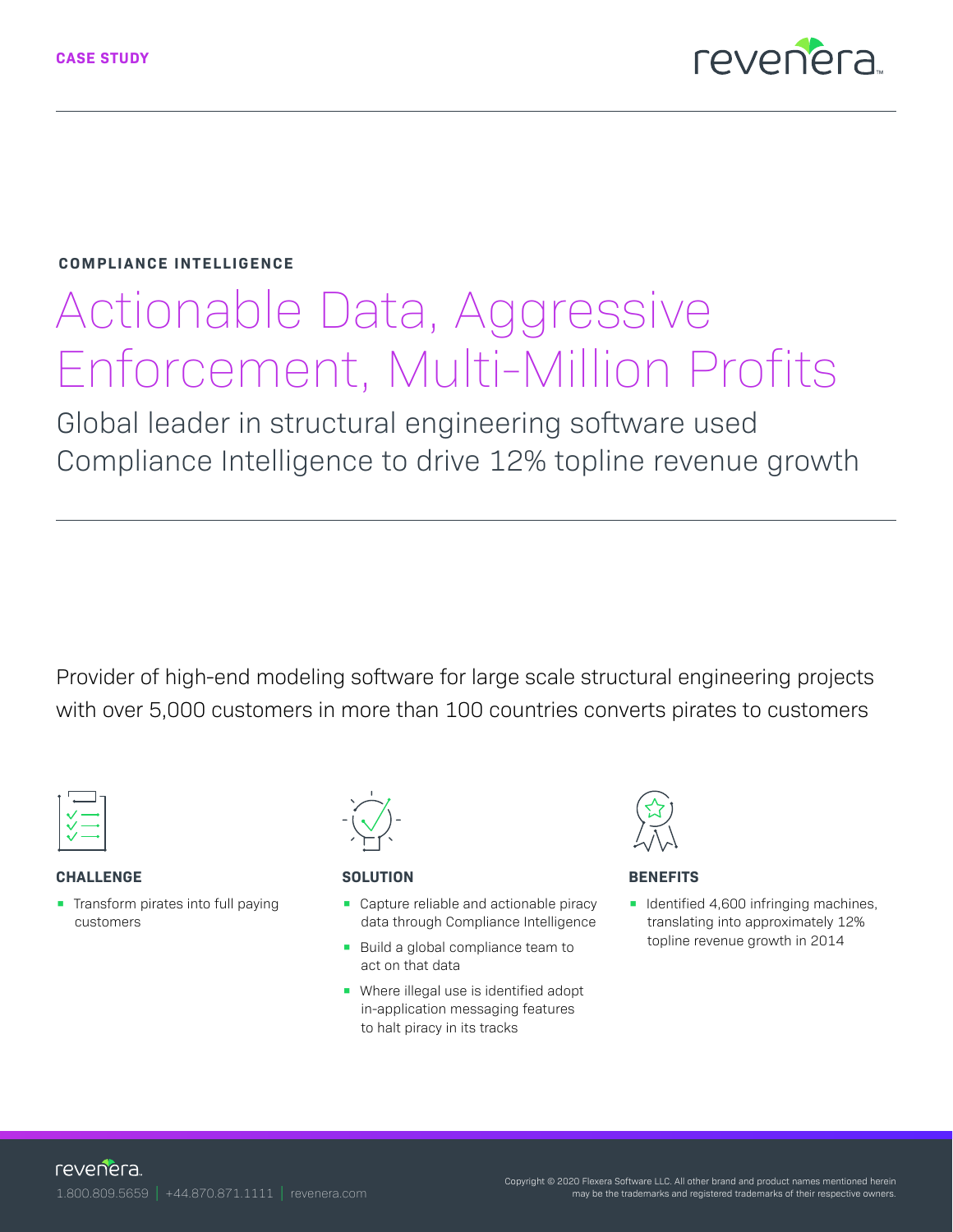

## **COMPLIANCE INTELLIGENCE**

# Actionable Data, Aggressive Enforcement, Multi-Million Profits

Global leader in structural engineering software used Compliance Intelligence to drive 12% topline revenue growth

Provider of high-end modeling software for large scale structural engineering projects with over 5,000 customers in more than 100 countries converts pirates to customers



## **CHALLENGE**

**•** Transform pirates into full paying customers



## **SOLUTION**

- Capture reliable and actionable piracy data through Compliance Intelligence
- Build a global compliance team to act on that data
- Where illegal use is identified adopt in-application messaging features to halt piracy in its tracks



## **BENEFITS**

**•** Identified 4,600 infringing machines, translating into approximately 12% topline revenue growth in 2014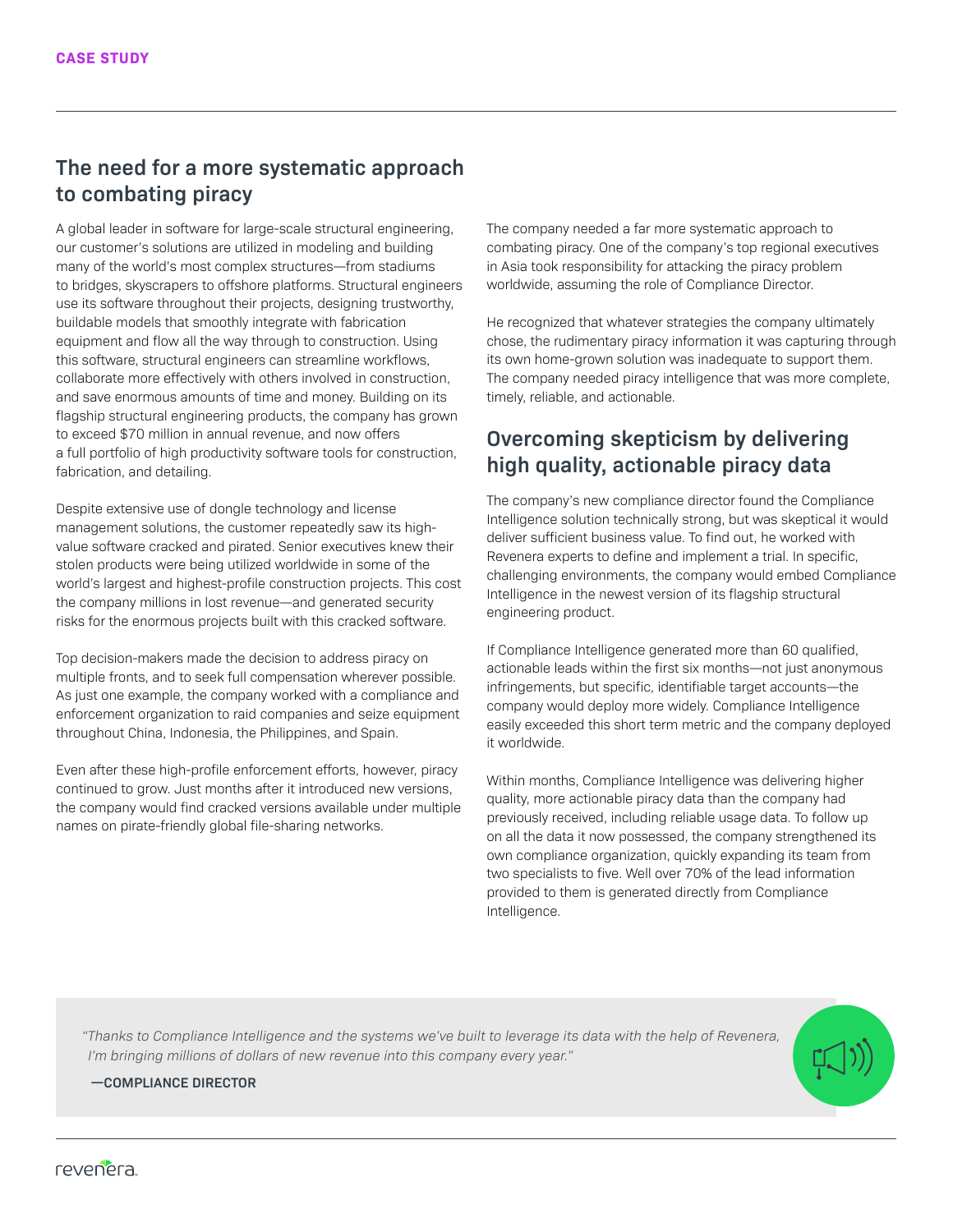## **The need for a more systematic approach to combating piracy**

A global leader in software for large-scale structural engineering, our customer's solutions are utilized in modeling and building many of the world's most complex structures—from stadiums to bridges, skyscrapers to offshore platforms. Structural engineers use its software throughout their projects, designing trustworthy, buildable models that smoothly integrate with fabrication equipment and flow all the way through to construction. Using this software, structural engineers can streamline workflows, collaborate more effectively with others involved in construction, and save enormous amounts of time and money. Building on its flagship structural engineering products, the company has grown to exceed \$70 million in annual revenue, and now offers a full portfolio of high productivity software tools for construction, fabrication, and detailing.

Despite extensive use of dongle technology and license management solutions, the customer repeatedly saw its highvalue software cracked and pirated. Senior executives knew their stolen products were being utilized worldwide in some of the world's largest and highest-profile construction projects. This cost the company millions in lost revenue—and generated security risks for the enormous projects built with this cracked software.

Top decision-makers made the decision to address piracy on multiple fronts, and to seek full compensation wherever possible. As just one example, the company worked with a compliance and enforcement organization to raid companies and seize equipment throughout China, Indonesia, the Philippines, and Spain.

Even after these high-profile enforcement efforts, however, piracy continued to grow. Just months after it introduced new versions, the company would find cracked versions available under multiple names on pirate-friendly global file-sharing networks.

The company needed a far more systematic approach to combating piracy. One of the company's top regional executives in Asia took responsibility for attacking the piracy problem worldwide, assuming the role of Compliance Director.

He recognized that whatever strategies the company ultimately chose, the rudimentary piracy information it was capturing through its own home-grown solution was inadequate to support them. The company needed piracy intelligence that was more complete, timely, reliable, and actionable.

## **Overcoming skepticism by delivering high quality, actionable piracy data**

The company's new compliance director found the Compliance Intelligence solution technically strong, but was skeptical it would deliver sufficient business value. To find out, he worked with Revenera experts to define and implement a trial. In specific, challenging environments, the company would embed Compliance Intelligence in the newest version of its flagship structural engineering product.

If Compliance Intelligence generated more than 60 qualified, actionable leads within the first six months—not just anonymous infringements, but specific, identifiable target accounts—the company would deploy more widely. Compliance Intelligence easily exceeded this short term metric and the company deployed it worldwide.

Within months, Compliance Intelligence was delivering higher quality, more actionable piracy data than the company had previously received, including reliable usage data. To follow up on all the data it now possessed, the company strengthened its own compliance organization, quickly expanding its team from two specialists to five. Well over 70% of the lead information provided to them is generated directly from Compliance Intelligence.

*"Thanks to Compliance Intelligence and the systems we've built to leverage its data with the help of Revenera, I'm bringing millions of dollars of new revenue into this company every year."*

## **—COMPLIANCE DIRECTOR**

revenera